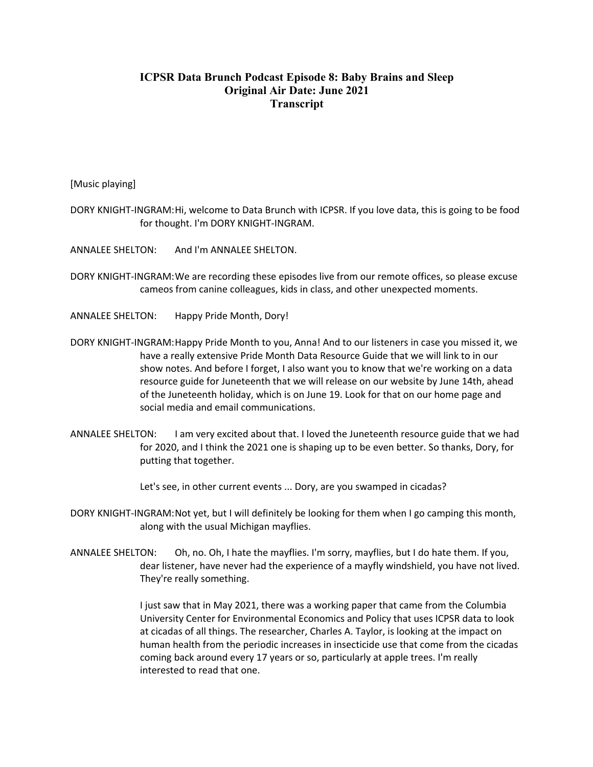## **ICPSR Data Brunch Podcast Episode 8: Baby Brains and Sleep Original Air Date: June 2021 Transcript**

[Music playing]

DORY KNIGHT-INGRAM:Hi, welcome to Data Brunch with ICPSR. If you love data, this is going to be food for thought. I'm DORY KNIGHT-INGRAM.

ANNALEE SHELTON: And I'm ANNALEE SHELTON.

- DORY KNIGHT-INGRAM:We are recording these episodes live from our remote offices, so please excuse cameos from canine colleagues, kids in class, and other unexpected moments.
- ANNALEE SHELTON: Happy Pride Month, Dory!
- DORY KNIGHT-INGRAM:Happy Pride Month to you, Anna! And to our listeners in case you missed it, we have a really extensive Pride Month Data Resource Guide that we will link to in our show notes. And before I forget, I also want you to know that we're working on a data resource guide for Juneteenth that we will release on our website by June 14th, ahead of the Juneteenth holiday, which is on June 19. Look for that on our home page and social media and email communications.
- ANNALEE SHELTON: I am very excited about that. I loved the Juneteenth resource guide that we had for 2020, and I think the 2021 one is shaping up to be even better. So thanks, Dory, for putting that together.

Let's see, in other current events ... Dory, are you swamped in cicadas?

- DORY KNIGHT-INGRAM:Not yet, but I will definitely be looking for them when I go camping this month, along with the usual Michigan mayflies.
- ANNALEE SHELTON: Oh, no. Oh, I hate the mayflies. I'm sorry, mayflies, but I do hate them. If you, dear listener, have never had the experience of a mayfly windshield, you have not lived. They're really something.

I just saw that in May 2021, there was a working paper that came from the Columbia University Center for Environmental Economics and Policy that uses ICPSR data to look at cicadas of all things. The researcher, Charles A. Taylor, is looking at the impact on human health from the periodic increases in insecticide use that come from the cicadas coming back around every 17 years or so, particularly at apple trees. I'm really interested to read that one.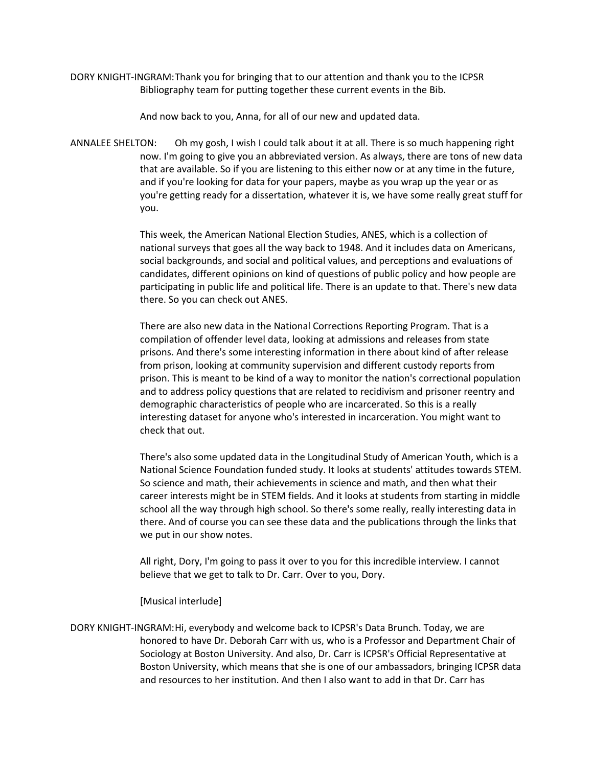DORY KNIGHT-INGRAM:Thank you for bringing that to our attention and thank you to the ICPSR Bibliography team for putting together these current events in the Bib.

And now back to you, Anna, for all of our new and updated data.

ANNALEE SHELTON: Oh my gosh, I wish I could talk about it at all. There is so much happening right now. I'm going to give you an abbreviated version. As always, there are tons of new data that are available. So if you are listening to this either now or at any time in the future, and if you're looking for data for your papers, maybe as you wrap up the year or as you're getting ready for a dissertation, whatever it is, we have some really great stuff for you.

> This week, the American National Election Studies, ANES, which is a collection of national surveys that goes all the way back to 1948. And it includes data on Americans, social backgrounds, and social and political values, and perceptions and evaluations of candidates, different opinions on kind of questions of public policy and how people are participating in public life and political life. There is an update to that. There's new data there. So you can check out ANES.

> There are also new data in the National Corrections Reporting Program. That is a compilation of offender level data, looking at admissions and releases from state prisons. And there's some interesting information in there about kind of after release from prison, looking at community supervision and different custody reports from prison. This is meant to be kind of a way to monitor the nation's correctional population and to address policy questions that are related to recidivism and prisoner reentry and demographic characteristics of people who are incarcerated. So this is a really interesting dataset for anyone who's interested in incarceration. You might want to check that out.

> There's also some updated data in the Longitudinal Study of American Youth, which is a National Science Foundation funded study. It looks at students' attitudes towards STEM. So science and math, their achievements in science and math, and then what their career interests might be in STEM fields. And it looks at students from starting in middle school all the way through high school. So there's some really, really interesting data in there. And of course you can see these data and the publications through the links that we put in our show notes.

All right, Dory, I'm going to pass it over to you for this incredible interview. I cannot believe that we get to talk to Dr. Carr. Over to you, Dory.

[Musical interlude]

DORY KNIGHT-INGRAM:Hi, everybody and welcome back to ICPSR's Data Brunch. Today, we are honored to have Dr. Deborah Carr with us, who is a Professor and Department Chair of Sociology at Boston University. And also, Dr. Carr is ICPSR's Official Representative at Boston University, which means that she is one of our ambassadors, bringing ICPSR data and resources to her institution. And then I also want to add in that Dr. Carr has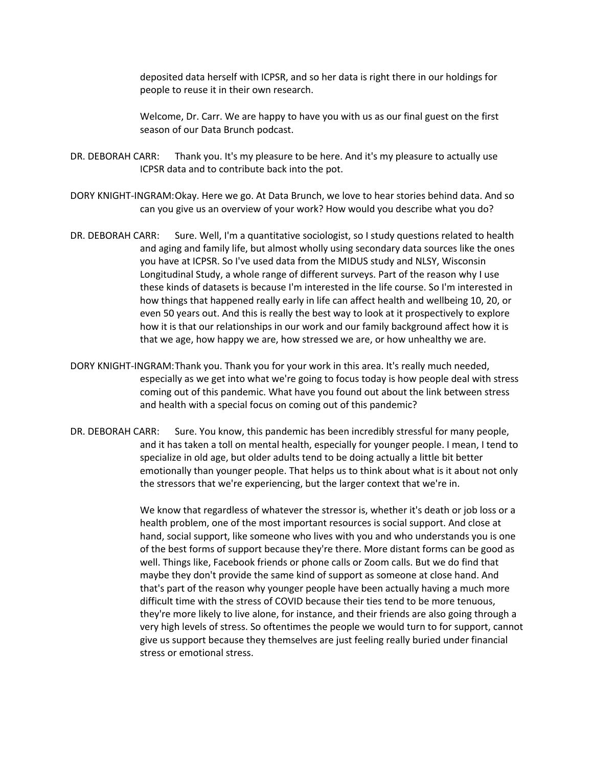deposited data herself with ICPSR, and so her data is right there in our holdings for people to reuse it in their own research.

Welcome, Dr. Carr. We are happy to have you with us as our final guest on the first season of our Data Brunch podcast.

- DR. DEBORAH CARR: Thank you. It's my pleasure to be here. And it's my pleasure to actually use ICPSR data and to contribute back into the pot.
- DORY KNIGHT-INGRAM:Okay. Here we go. At Data Brunch, we love to hear stories behind data. And so can you give us an overview of your work? How would you describe what you do?
- DR. DEBORAH CARR: Sure. Well, I'm a quantitative sociologist, so I study questions related to health and aging and family life, but almost wholly using secondary data sources like the ones you have at ICPSR. So I've used data from the MIDUS study and NLSY, Wisconsin Longitudinal Study, a whole range of different surveys. Part of the reason why I use these kinds of datasets is because I'm interested in the life course. So I'm interested in how things that happened really early in life can affect health and wellbeing 10, 20, or even 50 years out. And this is really the best way to look at it prospectively to explore how it is that our relationships in our work and our family background affect how it is that we age, how happy we are, how stressed we are, or how unhealthy we are.
- DORY KNIGHT-INGRAM:Thank you. Thank you for your work in this area. It's really much needed, especially as we get into what we're going to focus today is how people deal with stress coming out of this pandemic. What have you found out about the link between stress and health with a special focus on coming out of this pandemic?
- DR. DEBORAH CARR: Sure. You know, this pandemic has been incredibly stressful for many people, and it has taken a toll on mental health, especially for younger people. I mean, I tend to specialize in old age, but older adults tend to be doing actually a little bit better emotionally than younger people. That helps us to think about what is it about not only the stressors that we're experiencing, but the larger context that we're in.

We know that regardless of whatever the stressor is, whether it's death or job loss or a health problem, one of the most important resources is social support. And close at hand, social support, like someone who lives with you and who understands you is one of the best forms of support because they're there. More distant forms can be good as well. Things like, Facebook friends or phone calls or Zoom calls. But we do find that maybe they don't provide the same kind of support as someone at close hand. And that's part of the reason why younger people have been actually having a much more difficult time with the stress of COVID because their ties tend to be more tenuous, they're more likely to live alone, for instance, and their friends are also going through a very high levels of stress. So oftentimes the people we would turn to for support, cannot give us support because they themselves are just feeling really buried under financial stress or emotional stress.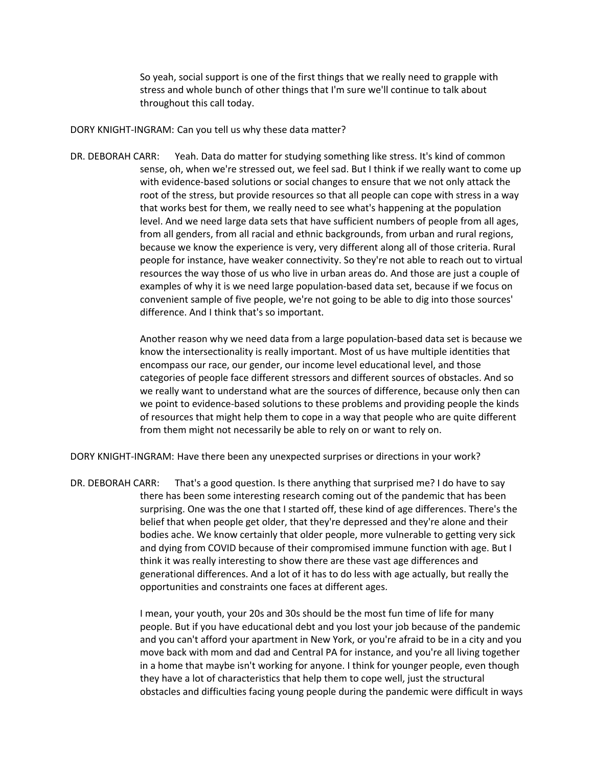So yeah, social support is one of the first things that we really need to grapple with stress and whole bunch of other things that I'm sure we'll continue to talk about throughout this call today.

DORY KNIGHT-INGRAM: Can you tell us why these data matter?

DR. DEBORAH CARR: Yeah. Data do matter for studying something like stress. It's kind of common sense, oh, when we're stressed out, we feel sad. But I think if we really want to come up with evidence-based solutions or social changes to ensure that we not only attack the root of the stress, but provide resources so that all people can cope with stress in a way that works best for them, we really need to see what's happening at the population level. And we need large data sets that have sufficient numbers of people from all ages, from all genders, from all racial and ethnic backgrounds, from urban and rural regions, because we know the experience is very, very different along all of those criteria. Rural people for instance, have weaker connectivity. So they're not able to reach out to virtual resources the way those of us who live in urban areas do. And those are just a couple of examples of why it is we need large population-based data set, because if we focus on convenient sample of five people, we're not going to be able to dig into those sources' difference. And I think that's so important.

> Another reason why we need data from a large population-based data set is because we know the intersectionality is really important. Most of us have multiple identities that encompass our race, our gender, our income level educational level, and those categories of people face different stressors and different sources of obstacles. And so we really want to understand what are the sources of difference, because only then can we point to evidence-based solutions to these problems and providing people the kinds of resources that might help them to cope in a way that people who are quite different from them might not necessarily be able to rely on or want to rely on.

DORY KNIGHT-INGRAM: Have there been any unexpected surprises or directions in your work?

DR. DEBORAH CARR: That's a good question. Is there anything that surprised me? I do have to say there has been some interesting research coming out of the pandemic that has been surprising. One was the one that I started off, these kind of age differences. There's the belief that when people get older, that they're depressed and they're alone and their bodies ache. We know certainly that older people, more vulnerable to getting very sick and dying from COVID because of their compromised immune function with age. But I think it was really interesting to show there are these vast age differences and generational differences. And a lot of it has to do less with age actually, but really the opportunities and constraints one faces at different ages.

> I mean, your youth, your 20s and 30s should be the most fun time of life for many people. But if you have educational debt and you lost your job because of the pandemic and you can't afford your apartment in New York, or you're afraid to be in a city and you move back with mom and dad and Central PA for instance, and you're all living together in a home that maybe isn't working for anyone. I think for younger people, even though they have a lot of characteristics that help them to cope well, just the structural obstacles and difficulties facing young people during the pandemic were difficult in ways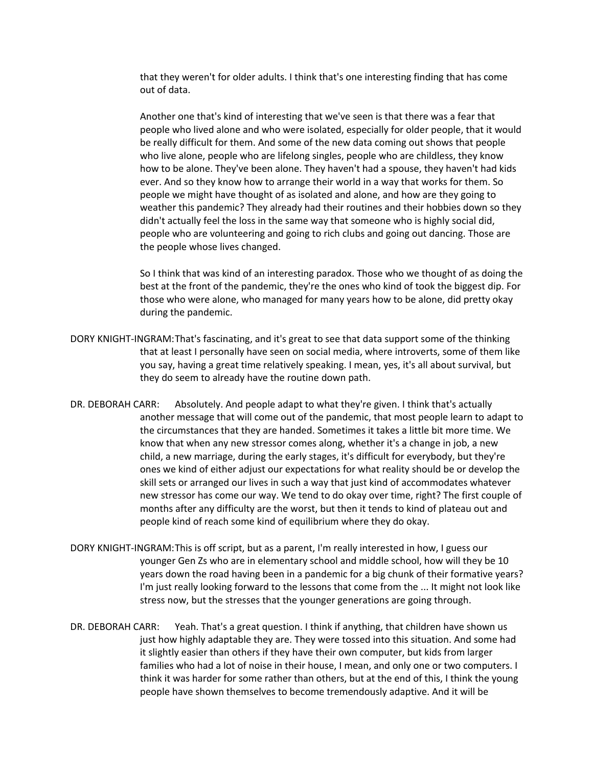that they weren't for older adults. I think that's one interesting finding that has come out of data.

Another one that's kind of interesting that we've seen is that there was a fear that people who lived alone and who were isolated, especially for older people, that it would be really difficult for them. And some of the new data coming out shows that people who live alone, people who are lifelong singles, people who are childless, they know how to be alone. They've been alone. They haven't had a spouse, they haven't had kids ever. And so they know how to arrange their world in a way that works for them. So people we might have thought of as isolated and alone, and how are they going to weather this pandemic? They already had their routines and their hobbies down so they didn't actually feel the loss in the same way that someone who is highly social did, people who are volunteering and going to rich clubs and going out dancing. Those are the people whose lives changed.

So I think that was kind of an interesting paradox. Those who we thought of as doing the best at the front of the pandemic, they're the ones who kind of took the biggest dip. For those who were alone, who managed for many years how to be alone, did pretty okay during the pandemic.

- DORY KNIGHT-INGRAM:That's fascinating, and it's great to see that data support some of the thinking that at least I personally have seen on social media, where introverts, some of them like you say, having a great time relatively speaking. I mean, yes, it's all about survival, but they do seem to already have the routine down path.
- DR. DEBORAH CARR: Absolutely. And people adapt to what they're given. I think that's actually another message that will come out of the pandemic, that most people learn to adapt to the circumstances that they are handed. Sometimes it takes a little bit more time. We know that when any new stressor comes along, whether it's a change in job, a new child, a new marriage, during the early stages, it's difficult for everybody, but they're ones we kind of either adjust our expectations for what reality should be or develop the skill sets or arranged our lives in such a way that just kind of accommodates whatever new stressor has come our way. We tend to do okay over time, right? The first couple of months after any difficulty are the worst, but then it tends to kind of plateau out and people kind of reach some kind of equilibrium where they do okay.
- DORY KNIGHT-INGRAM:This is off script, but as a parent, I'm really interested in how, I guess our younger Gen Zs who are in elementary school and middle school, how will they be 10 years down the road having been in a pandemic for a big chunk of their formative years? I'm just really looking forward to the lessons that come from the ... It might not look like stress now, but the stresses that the younger generations are going through.
- DR. DEBORAH CARR: Yeah. That's a great question. I think if anything, that children have shown us just how highly adaptable they are. They were tossed into this situation. And some had it slightly easier than others if they have their own computer, but kids from larger families who had a lot of noise in their house, I mean, and only one or two computers. I think it was harder for some rather than others, but at the end of this, I think the young people have shown themselves to become tremendously adaptive. And it will be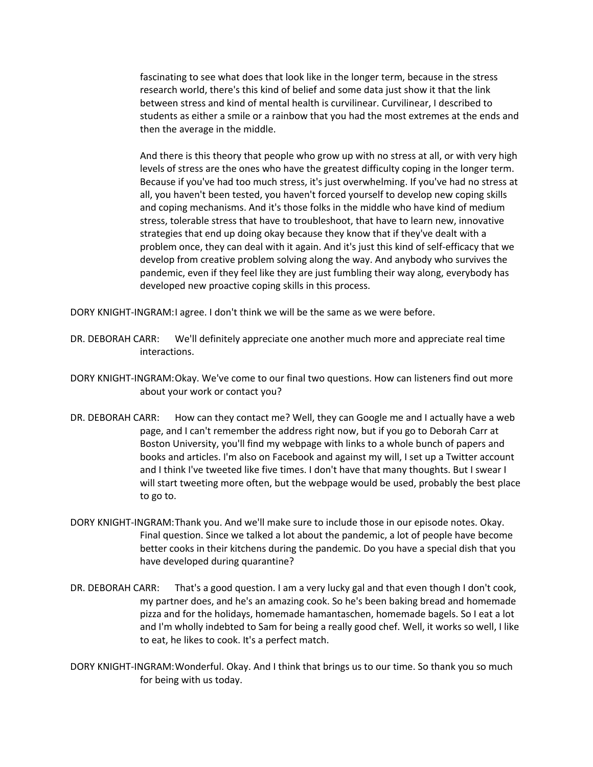fascinating to see what does that look like in the longer term, because in the stress research world, there's this kind of belief and some data just show it that the link between stress and kind of mental health is curvilinear. Curvilinear, I described to students as either a smile or a rainbow that you had the most extremes at the ends and then the average in the middle.

And there is this theory that people who grow up with no stress at all, or with very high levels of stress are the ones who have the greatest difficulty coping in the longer term. Because if you've had too much stress, it's just overwhelming. If you've had no stress at all, you haven't been tested, you haven't forced yourself to develop new coping skills and coping mechanisms. And it's those folks in the middle who have kind of medium stress, tolerable stress that have to troubleshoot, that have to learn new, innovative strategies that end up doing okay because they know that if they've dealt with a problem once, they can deal with it again. And it's just this kind of self-efficacy that we develop from creative problem solving along the way. And anybody who survives the pandemic, even if they feel like they are just fumbling their way along, everybody has developed new proactive coping skills in this process.

DORY KNIGHT-INGRAM:I agree. I don't think we will be the same as we were before.

- DR. DEBORAH CARR: We'll definitely appreciate one another much more and appreciate real time interactions.
- DORY KNIGHT-INGRAM:Okay. We've come to our final two questions. How can listeners find out more about your work or contact you?
- DR. DEBORAH CARR: How can they contact me? Well, they can Google me and I actually have a web page, and I can't remember the address right now, but if you go to Deborah Carr at Boston University, you'll find my webpage with links to a whole bunch of papers and books and articles. I'm also on Facebook and against my will, I set up a Twitter account and I think I've tweeted like five times. I don't have that many thoughts. But I swear I will start tweeting more often, but the webpage would be used, probably the best place to go to.
- DORY KNIGHT-INGRAM:Thank you. And we'll make sure to include those in our episode notes. Okay. Final question. Since we talked a lot about the pandemic, a lot of people have become better cooks in their kitchens during the pandemic. Do you have a special dish that you have developed during quarantine?
- DR. DEBORAH CARR: That's a good question. I am a very lucky gal and that even though I don't cook, my partner does, and he's an amazing cook. So he's been baking bread and homemade pizza and for the holidays, homemade hamantaschen, homemade bagels. So I eat a lot and I'm wholly indebted to Sam for being a really good chef. Well, it works so well, I like to eat, he likes to cook. It's a perfect match.
- DORY KNIGHT-INGRAM:Wonderful. Okay. And I think that brings us to our time. So thank you so much for being with us today.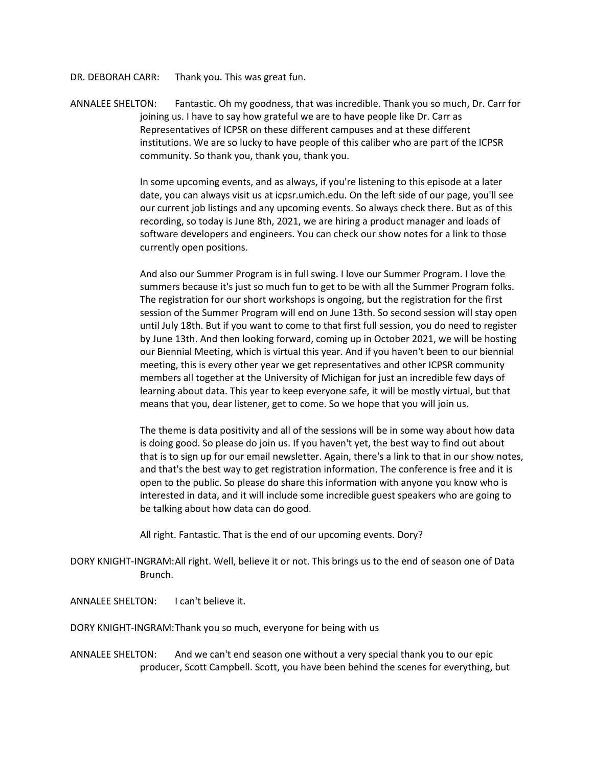DR. DEBORAH CARR: Thank you. This was great fun.

ANNALEE SHELTON: Fantastic. Oh my goodness, that was incredible. Thank you so much, Dr. Carr for joining us. I have to say how grateful we are to have people like Dr. Carr as Representatives of ICPSR on these different campuses and at these different institutions. We are so lucky to have people of this caliber who are part of the ICPSR community. So thank you, thank you, thank you.

> In some upcoming events, and as always, if you're listening to this episode at a later date, you can always visit us at icpsr.umich.edu. On the left side of our page, you'll see our current job listings and any upcoming events. So always check there. But as of this recording, so today is June 8th, 2021, we are hiring a product manager and loads of software developers and engineers. You can check our show notes for a link to those currently open positions.

> And also our Summer Program is in full swing. I love our Summer Program. I love the summers because it's just so much fun to get to be with all the Summer Program folks. The registration for our short workshops is ongoing, but the registration for the first session of the Summer Program will end on June 13th. So second session will stay open until July 18th. But if you want to come to that first full session, you do need to register by June 13th. And then looking forward, coming up in October 2021, we will be hosting our Biennial Meeting, which is virtual this year. And if you haven't been to our biennial meeting, this is every other year we get representatives and other ICPSR community members all together at the University of Michigan for just an incredible few days of learning about data. This year to keep everyone safe, it will be mostly virtual, but that means that you, dear listener, get to come. So we hope that you will join us.

The theme is data positivity and all of the sessions will be in some way about how data is doing good. So please do join us. If you haven't yet, the best way to find out about that is to sign up for our email newsletter. Again, there's a link to that in our show notes, and that's the best way to get registration information. The conference is free and it is open to the public. So please do share this information with anyone you know who is interested in data, and it will include some incredible guest speakers who are going to be talking about how data can do good.

All right. Fantastic. That is the end of our upcoming events. Dory?

DORY KNIGHT-INGRAM:All right. Well, believe it or not. This brings us to the end of season one of Data Brunch.

ANNALEE SHELTON: I can't believe it.

DORY KNIGHT-INGRAM:Thank you so much, everyone for being with us

ANNALEE SHELTON: And we can't end season one without a very special thank you to our epic producer, Scott Campbell. Scott, you have been behind the scenes for everything, but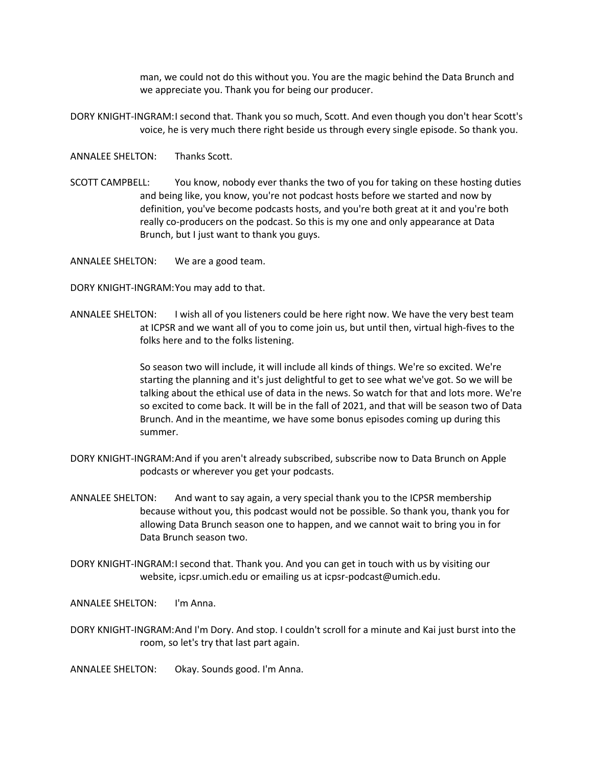man, we could not do this without you. You are the magic behind the Data Brunch and we appreciate you. Thank you for being our producer.

- DORY KNIGHT-INGRAM:I second that. Thank you so much, Scott. And even though you don't hear Scott's voice, he is very much there right beside us through every single episode. So thank you.
- ANNALEE SHELTON: Thanks Scott.
- SCOTT CAMPBELL: You know, nobody ever thanks the two of you for taking on these hosting duties and being like, you know, you're not podcast hosts before we started and now by definition, you've become podcasts hosts, and you're both great at it and you're both really co-producers on the podcast. So this is my one and only appearance at Data Brunch, but I just want to thank you guys.

ANNALEE SHELTON: We are a good team.

- DORY KNIGHT-INGRAM:You may add to that.
- ANNALEE SHELTON: I wish all of you listeners could be here right now. We have the very best team at ICPSR and we want all of you to come join us, but until then, virtual high-fives to the folks here and to the folks listening.

So season two will include, it will include all kinds of things. We're so excited. We're starting the planning and it's just delightful to get to see what we've got. So we will be talking about the ethical use of data in the news. So watch for that and lots more. We're so excited to come back. It will be in the fall of 2021, and that will be season two of Data Brunch. And in the meantime, we have some bonus episodes coming up during this summer.

- DORY KNIGHT-INGRAM:And if you aren't already subscribed, subscribe now to Data Brunch on Apple podcasts or wherever you get your podcasts.
- ANNALEE SHELTON: And want to say again, a very special thank you to the ICPSR membership because without you, this podcast would not be possible. So thank you, thank you for allowing Data Brunch season one to happen, and we cannot wait to bring you in for Data Brunch season two.
- DORY KNIGHT-INGRAM:I second that. Thank you. And you can get in touch with us by visiting our website, icpsr.umich.edu or emailing us at icpsr-podcast@umich.edu.
- ANNALEE SHELTON: I'm Anna.
- DORY KNIGHT-INGRAM:And I'm Dory. And stop. I couldn't scroll for a minute and Kai just burst into the room, so let's try that last part again.
- ANNALEE SHELTON: Okay. Sounds good. I'm Anna.